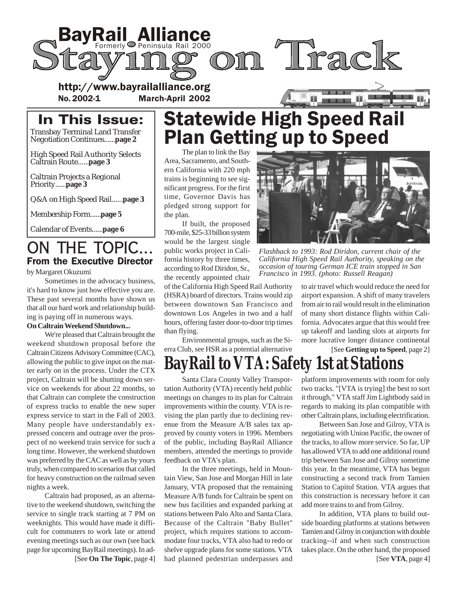

## In This Issue:

Transbay Terminal Land Transfer Negotiation Continues......**page 2**

High Speed Rail Authority Selects Caltrain Route......**page 3**

Caltrain Projects a Regional Priority......**page 3**

Q&A on High Speed Rail......**page 3**

Membership Form......**page 5**

Calendar of Events......**page 6**

## ON THE TOPIC... From the Executive Director

by Margaret Okuzumi

Sometimes in the advocacy business, it's hard to know just how effective you are. These past several months have shown us that all our hard work and relationship building is paying off in numerous ways.

### **On Caltrain Weekend Shutdown...**

We're pleased that Caltrain brought the weekend shutdown proposal before the Caltrain Citizens Advisory Committee (CAC), allowing the public to give input on the matter early on in the process. Under the CTX project, Caltrain will be shutting down service on weekends for about 22 months, so that Caltrain can complete the construction of express tracks to enable the new super express service to start in the Fall of 2003. Many people have understandably expressed concern and outrage over the prospect of no weekend train service for such a long time. However, the weekend shutdown was preferred by the CAC as well as by yours truly, when compared to scenarios that called for heavy construction on the railroad seven nights a week.

Caltrain had proposed, as an alternative to the weekend shutdown, switching the service to single track starting at 7 PM on weeknights. This would have made it difficult for commuters to work late or attend evening meetings such as our own (see back page for upcoming BayRail meetings). In ad-

[See **On The Topic**, page 4]

# **Statewide High Speed Rail** Plan Getting up to Speed

The plan to link the Bay Area, Sacramento, and Southern California with 220 mph trains is beginning to see significant progress. For the first time, Governor Davis has pledged strong support for the plan.

If built, the proposed 700-mile, \$25-33 billion system would be the largest single public works project in California history by three times, according to Rod Diridon, Sr., the recently appointed chair

of the California High Speed Rail Authority (HSRA) board of directors. Trains would zip between downtown San Francisco and downtown Los Angeles in two and a half hours, offering faster door-to-door trip times than flying.

Environmental groups, such as the Sierra Club, see HSR as a potential alternative

# **BayRail to VTA: Safety 1st at Stations**

Santa Clara County Valley Transportation Authority (VTA) recently held public meetings on changes to its plan for Caltrain improvements within the county. VTA is revising the plan partly due to declining revenue from the Measure A/B sales tax approved by county voters in 1996. Members of the public, including BayRail Alliance members, attended the meetings to provide feedback on VTA's plan.

In the three meetings, held in Mountain View, San Jose and Morgan Hill in late January, VTA proposed that the remaining Measure A/B funds for Caltrain be spent on new bus facilities and expanded parking at stations between Palo Alto and Santa Clara. Because of the Caltrain "Baby Bullet" project, which requires stations to accommodate four tracks, VTA also had to redo or shelve upgrade plans for some stations. VTA had planned pedestrian underpasses and **[See VTA**, page 4]



*Flashback to 1993: Rod Diridon, current chair of the California High Speed Rail Authority, speaking on the occasion of touring German ICE train stopped in San Francisco in 1993. (photo: Russell Reagan)*

to air travel which would reduce the need for airport expansion. A shift of many travelers from air to rail would result in the elimination of many short distance flights within California. Advocates argue that this would free up takeoff and landing slots at airports for more lucrative longer distance continental

[See **Getting up to Speed**, page 2]

platform improvements with room for only two tracks. "[VTA is trying] the best to sort it through," VTA staff Jim Lightbody said in regards to making its plan compatible with other Caltrain plans, including electrification.

Between San Jose and Gilroy, VTA is negotiating with Union Pacific, the owner of the tracks, to allow more service. So far, UP has allowed VTA to add one additional round trip between San Jose and Gilroy sometime this year. In the meantime, VTA has begun constructing a second track from Tamien Station to Capitol Station. VTA argues that this construction is necessary before it can add more trains to and from Gilroy.

In addition, VTA plans to build outside boarding platforms at stations between Tamien and Gilroy in conjunction with double tracking--if and when such construction takes place. On the other hand, the proposed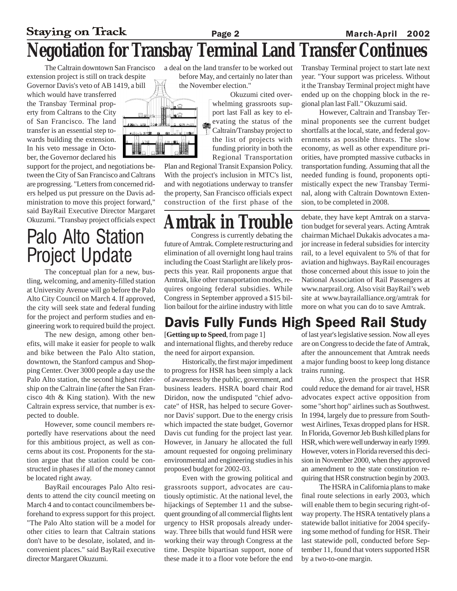## **Staying on Track** Page 2 March-April 2002 **Negotiation for Transbay Terminal Land Transfer Continues**

The Caltrain downtown San Francisco extension project is still on track despite Governor Davis's veto of AB 1419, a bill

which would have transferred the Transbay Terminal property from Caltrans to the City of San Francisco. The land transfer is an essential step towards building the extension. In his veto message in October, the Governor declared his

support for the project, and negotiations between the City of San Francisco and Caltrans are progressing. "Letters from concerned riders helped us put pressure on the Davis administration to move this project forward," said BayRail Executive Director Margaret Okuzumi. "Transbay project officials expect

# Palo Alto Station Project Update

The conceptual plan for a new, bustling, welcoming, and amenity-filled station at University Avenue will go before the Palo Alto City Council on March 4. If approved, the city will seek state and federal funding for the project and perform studies and engineering work to required build the project.

The new design, among other benefits, will make it easier for people to walk and bike between the Palo Alto station, downtown, the Stanford campus and Shopping Center. Over 3000 people a day use the Palo Alto station, the second highest ridership on the Caltrain line (after the San Francisco 4th & King station). With the new Caltrain express service, that number is expected to double.

However, some council members reportedly have reservations about the need for this ambitious project, as well as concerns about its cost. Proponents for the station argue that the station could be constructed in phases if all of the money cannot be located right away.

BayRail encourages Palo Alto residents to attend the city council meeting on March 4 and to contact councilmembers beforehand to express support for this project. "The Palo Alto station will be a model for other cities to learn that Caltrain stations don't have to be desolate, isolated, and inconvenient places." said BayRail executive director Margaret Okuzumi.

a deal on the land transfer to be worked out before May, and certainly no later than the November election."

> Okuzumi cited overwhelming grassroots support last Fall as key to elevating the status of the Caltrain/Transbay project to the list of projects with funding priority in both the Regional Transportation

Plan and Regional Transit Expansion Policy. With the project's inclusion in MTC's list, and with negotiations underway to transfer the property, San Francisco officials expect construction of the first phase of the

# **Amtrak in Troubl**

Congress is currently debating the future of Amtrak. Complete restructuring and elimination of all overnight long haul trains including the Coast Starlight are likely prospects this year. Rail proponents argue that Amtrak, like other transportation modes, requires ongoing federal subsidies. While Congress in September approved a \$15 billion bailout for the airline industry with little

## Davis Fully Funds High Speed Rail Study

and international flights, and thereby reduce the need for airport expansion. [**Getting up to Speed**, from page 1]

Historically, the first major impediment to progress for HSR has been simply a lack of awareness by the public, government, and business leaders. HSRA board chair Rod Diridon, now the undisputed "chief advocate" of HSR, has helped to secure Governor Davis' support. Due to the energy crisis which impacted the state budget, Governor Davis cut funding for the project last year. However, in January he allocated the full amount requested for ongoing preliminary environmental and engineering studies in his proposed budget for 2002-03.

Even with the growing political and grassroots support, advocates are cautiously optimistic. At the national level, the hijackings of September 11 and the subsequent grounding of all commercial flights lent urgency to HSR proposals already underway. Three bills that would fund HSR were working their way through Congress at the time. Despite bipartisan support, none of these made it to a floor vote before the end Transbay Terminal project to start late next year. "Your support was priceless. Without it the Transbay Terminal project might have ended up on the chopping block in the regional plan last Fall." Okuzumi said.

However, Caltrain and Transbay Terminal proponents see the current budget shortfalls at the local, state, and federal governments as possible threats. The slow economy, as well as other expenditure priorities, have prompted massive cutbacks in transportation funding. Assuming that all the needed funding is found, proponents optimistically expect the new Transbay Terminal, along with Caltrain Downtown Extension, to be completed in 2008.

debate, they have kept Amtrak on a starvation budget for several years. Acting Amtrak chairman Michael Dukakis advocates a major increase in federal subsidies for intercity rail, to a level equivalent to 5% of that for aviation and highways. BayRail encourages those concerned about this issue to join the National Association of Rail Passengers at www.narprail.org. Also visit BayRail's web site at www.bayrailalliance.org/amtrak for more on what you can do to save Amtrak.

of last year's legislative session. Now all eyes are on Congress to decide the fate of Amtrak, after the announcement that Amtrak needs a major funding boost to keep long distance trains running.

Also, given the prospect that HSR could reduce the demand for air travel, HSR advocates expect active opposition from some "short hop" airlines such as Southwest. In 1994, largely due to pressure from Southwest Airlines, Texas dropped plans for HSR. In Florida, Governor Jeb Bush killed plans for HSR, which were well underway in early 1999. However, voters in Florida reversed this decision in November 2000, when they approved an amendment to the state constitution requiring that HSR construction begin by 2003.

The HSRA in California plans to make final route selections in early 2003, which will enable them to begin securing right-ofway property. The HSRA tentatively plans a statewide ballot initiative for 2004 specifying some method of funding for HSR. Their last statewide poll, conducted before September 11, found that voters supported HSR by a two-to-one margin.

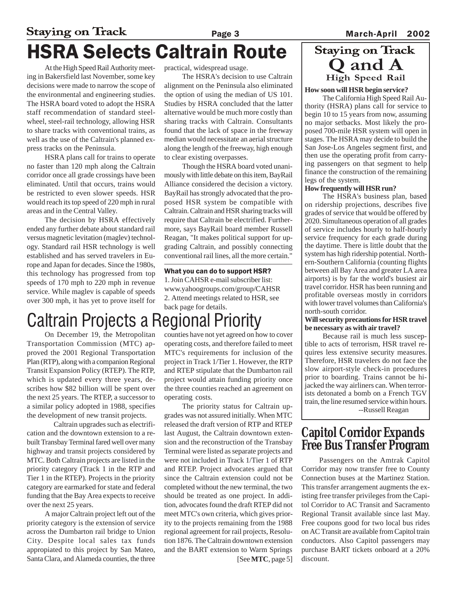## **Staying on Track** Page 3 March-April 2002 HSRA Selects Caltrain Route

At the High Speed Rail Authority meeting in Bakersfield last November, some key decisions were made to narrow the scope of the environmental and engineering studies. The HSRA board voted to adopt the HSRA staff recommendation of standard steelwheel, steel-rail technology, allowing HSR to share tracks with conventional trains, as well as the use of the Caltrain's planned express tracks on the Peninsula.

HSRA plans call for trains to operate no faster than 120 mph along the Caltrain corridor once all grade crossings have been eliminated. Until that occurs, trains would be restricted to even slower speeds. HSR would reach its top speed of 220 mph in rural areas and in the Central Valley.

The decision by HSRA effectively ended any further debate about standard rail versus magnetic levitation (maglev) technology. Standard rail HSR technology is well established and has served travelers in Europe and Japan for decades. Since the 1980s, this technology has progressed from top speeds of 170 mph to 220 mph in revenue service. While maglev is capable of speeds over 300 mph, it has yet to prove itself for

Caltrain Projects a Regional Priority On December 19, the Metropolitan Transportation Commission (MTC) approved the 2001 Regional Transportation Plan (RTP), along with a companion Regional Transit Expansion Policy (RTEP). The RTP, which is updated every three years, describes how \$82 billion will be spent over the next 25 years. The RTEP, a successor to a similar policy adopted in 1988, specifies the development of new transit projects.

Caltrain upgrades such as electrification and the downtown extension to a rebuilt Transbay Terminal fared well over many highway and transit projects considered by MTC. Both Caltrain projects are listed in the priority category (Track 1 in the RTP and Tier 1 in the RTEP). Projects in the priority category are earmarked for state and federal funding that the Bay Area expects to receive over the next 25 years.

A major Caltrain project left out of the priority category is the extension of service across the Dumbarton rail bridge to Union City. Despite local sales tax funds appropiated to this project by San Mateo, Santa Clara, and Alameda counties, the three

practical, widespread usage.

The HSRA's decision to use Caltrain alignment on the Peninsula also eliminated the option of using the median of US 101. Studies by HSRA concluded that the latter alternative would be much more costly than sharing tracks with Caltrain. Consultants found that the lack of space in the freeway median would necessitate an aerial structure along the length of the freeway, high enough to clear existing overpasses.

Though the HSRA board voted unanimously with little debate on this item, BayRail Alliance considered the decision a victory. BayRail has strongly advocated that the proposed HSR system be compatible with Caltrain. Caltrain and HSR sharing tracks will require that Caltrain be electrified. Furthermore, says BayRail board member Russell Reagan, "It makes political support for upgrading Caltrain, and possibly connecting conventional rail lines, all the more certain."

### What you can do to support HSR?

1. Join CAHSR e-mail subscriber list: www.yahoogroups.com/group/CAHSR 2. Attend meetings related to HSR, see back page for details.

counties have not yet agreed on how to cover operating costs, and therefore failed to meet MTC's requirements for inclusion of the project in Track 1/Tier 1. However, the RTP and RTEP stipulate that the Dumbarton rail project would attain funding priority once the three counties reached an agreement on operating costs.

[See **MTC**, page 5] The priority status for Caltrain upgrades was not assured initially. When MTC released the draft version of RTP and RTEP last August, the Caltrain downtown extension and the reconstruction of the Transbay Terminal were listed as separate projects and were not included in Track 1/Tier 1 of RTP and RTEP. Project advocates argued that since the Caltrain extension could not be completed without the new terminal, the two should be treated as one project. In addition, advocates found the draft RTEP did not meet MTC's own criteria, which gives priority to the projects remaining from the 1988 regional agreement for rail projects, Resolution 1876. The Caltrain downtown extension and the BART extension to Warm Springs

## **Staying on Track** Q and A High Speed Rail

### **How soon will HSR begin service?**

The California High Speed Rail Authority (HSRA) plans call for service to begin 10 to 15 years from now, assuming no major setbacks. Most likely the proposed 700-mile HSR system will open in stages. The HSRA may decide to build the San Jose-Los Angeles segment first, and then use the operating profit from carrying passengers on that segment to help finance the construction of the remaining legs of the system.

### **How frequently will HSR run?**

The HSRA's business plan, based on ridership projections, describes five grades of service that would be offered by 2020. Simultaneous operation of all grades of service includes hourly to half-hourly service frequency for each grade during the daytime. There is little doubt that the system has high ridership potential. Northern-Southern California (counting flights between all Bay Area and greater LA area airports) is by far the world's busiest air travel corridor. HSR has been running and profitable overseas mostly in corridors with lower travel volumes than California's north-south corridor.

### **Will security precautions for HSR travel be necessary as with air travel?**

Because rail is much less susceptible to acts of terrorism, HSR travel requires less extensive security measures. Therefore, HSR travelers do not face the slow airport-style check-in procedures prior to boarding. Trains cannot be hijacked the way airliners can. When terrorists detonated a bomb on a French TGV train, the line resumed service within hours. --Russell Reagan

## **Capitol Corridor Expands Free Bus Transfer Program**

Passengers on the Amtrak Capitol Corridor may now transfer free to County Connection buses at the Martinez Station. This transfer arrangement augments the existing free transfer privileges from the Capitol Corridor to AC Transit and Sacramento Regional Transit available since last May. Free coupons good for two local bus rides on AC Transit are available from Capitol train conductors. Also Capitol passengers may purchase BART tickets onboard at a 20% discount.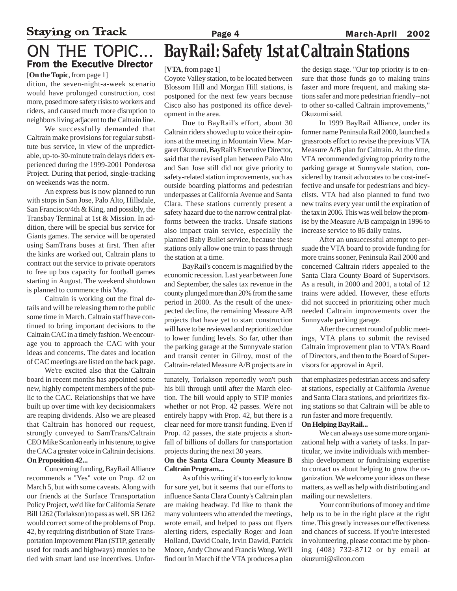## **Staying on Track**

# ON THE TOPIC...<br>From the Executive Director

[**On the Topic**, from page 1]

dition, the seven-night-a-week scenario would have prolonged construction, cost more, posed more safety risks to workers and riders, and caused much more disruption to neighbors living adjacent to the Caltrain line.

We successfully demanded that Caltrain make provisions for regular substitute bus service, in view of the unpredictable, up-to-30-minute train delays riders experienced during the 1999-2001 Ponderosa Project. During that period, single-tracking on weekends was the norm.

An express bus is now planned to run with stops in San Jose, Palo Alto, Hillsdale, San Francisco/4th & King, and possibly, the Transbay Terminal at 1st & Mission. In addition, there will be special bus service for Giants games. The service will be operated using SamTrans buses at first. Then after the kinks are worked out, Caltrain plans to contract out the service to private operators to free up bus capacity for football games starting in August. The weekend shutdown is planned to commence this May.

Caltrain is working out the final details and will be releasing them to the public some time in March. Caltrain staff have continued to bring important decisions to the Caltrain CAC in a timely fashion. We encourage you to approach the CAC with your ideas and concerns. The dates and location of CAC meetings are listed on the back page.

We're excited also that the Caltrain board in recent months has appointed some new, highly competent members of the public to the CAC. Relationships that we have built up over time with key decisionmakers are reaping dividends. Also we are pleased that Caltrain has honored our request, strongly conveyed to SamTrans/Caltrain CEO Mike Scanlon early in his tenure, to give the CAC a greater voice in Caltrain decisions. **On Proposition 42...**

Concerning funding, BayRail Alliance recommends a "Yes" vote on Prop. 42 on March 5, but with some caveats. Along with our friends at the Surface Transportation Policy Project, we'd like for California Senate Bill 1262 (Torlakson) to pass as well. SB 1262 would correct some of the problems of Prop. 42, by requiring distribution of State Transportation Improvement Plan (STIP, generally used for roads and highways) monies to be tied with smart land use incentives. Unfor-

# **BayRail: Safety 1st at Caltrain Stations**

### [**VTA**, from page 1]

Coyote Valley station, to be located between Blossom Hill and Morgan Hill stations, is postponed for the next few years because Cisco also has postponed its office development in the area.

Due to BayRail's effort, about 30 Caltrain riders showed up to voice their opinions at the meeting in Mountain View. Margaret Okuzumi, BayRail's Executive Director, said that the revised plan between Palo Alto and San Jose still did not give priority to safety-related station improvements, such as outside boarding platforms and pedestrian underpasses at California Avenue and Santa Clara. These stations currently present a safety hazard due to the narrow central platforms between the tracks. Unsafe stations also impact train service, especially the planned Baby Bullet service, because these stations only allow one train to pass through the station at a time.

BayRail's concern is magnified by the economic recession. Last year between June and September, the sales tax revenue in the county plunged more than 20% from the same period in 2000. As the result of the unexpected decline, the remaining Measure A/B projects that have yet to start construction will have to be reviewed and reprioritized due to lower funding levels. So far, other than the parking garage at the Sunnyvale station and transit center in Gilroy, most of the Caltrain-related Measure A/B projects are in

tunately, Torlakson reportedly won't push his bill through until after the March election. The bill would apply to STIP monies whether or not Prop. 42 passes. We're not entirely happy with Prop. 42, but there is a clear need for more transit funding. Even if Prop. 42 passes, the state projects a shortfall of billions of dollars for transportation projects during the next 30 years.

### **On the Santa Clara County Measure B Caltrain Program...**

As of this writing it's too early to know for sure yet, but it seems that our efforts to influence Santa Clara County's Caltrain plan are making headway. I'd like to thank the many volunteers who attended the meetings, wrote email, and helped to pass out flyers alerting riders, especially Roger and Joan Holland, David Coale, Irvin Dawid, Patrick Moore, Andy Chow and Francis Wong. We'll find out in March if the VTA produces a plan

the design stage. "Our top priority is to ensure that those funds go to making trains faster and more frequent, and making stations safer and more pedestrian friendly--not to other so-called Caltrain improvements," Okuzumi said.

In 1999 BayRail Alliance, under its former name Peninsula Rail 2000, launched a grassroots effort to revise the previous VTA Measure A/B plan for Caltrain. At the time, VTA recommended giving top priority to the parking garage at Sunnyvale station, considered by transit advocates to be cost-ineffective and unsafe for pedestrians and bicyclists. VTA had also planned to fund two new trains every year until the expiration of the tax in 2006. This was well below the promise by the Measure A/B campaign in 1996 to increase service to 86 daily trains.

After an unsuccessful attempt to persuade the VTA board to provide funding for more trains sooner, Peninsula Rail 2000 and concerned Caltrain riders appealed to the Santa Clara County Board of Supervisors. As a result, in 2000 and 2001, a total of 12 trains were added. However, these efforts did not succeed in prioritizing other much needed Caltrain improvements over the Sunnyvale parking garage.

After the current round of public meetings, VTA plans to submit the revised Caltrain improvement plan to VTA's Board of Directors, and then to the Board of Supervisors for approval in April.

that emphasizes pedestrian access and safety at stations, especially at California Avenue and Santa Clara stations, and prioritizes fixing stations so that Caltrain will be able to run faster and more frequently.

### **On Helping BayRail...**

We can always use some more organizational help with a variety of tasks. In particular, we invite individuals with membership development or fundraising expertise to contact us about helping to grow the organization. We welcome your ideas on these matters, as well as help with distributing and mailing our newsletters.

Your contributions of money and time help us to be in the right place at the right time. This greatly increases our effectiveness and chances of success. If you're interested in volunteering, please contact me by phoning (408) 732-8712 or by email at okuzumi@silcon.com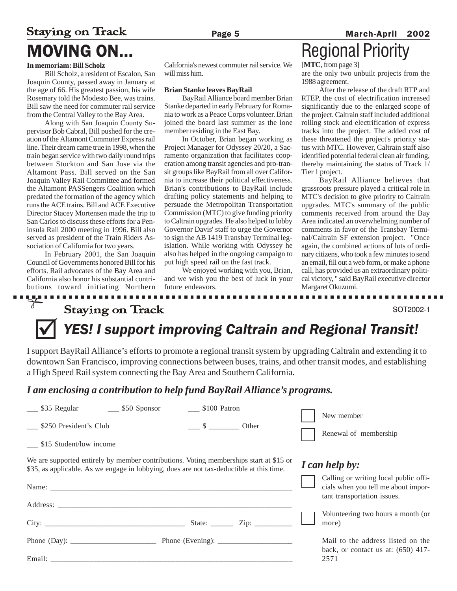# **Staying on Track**

### **In memoriam: Bill Scholz**

Bill Scholz, a resident of Escalon, San Joaquin County, passed away in January at the age of 66. His greatest passion, his wife Rosemary told the Modesto Bee, was trains. Bill saw the need for commuter rail service from the Central Valley to the Bay Area.

Along with San Joaquin County Supervisor Bob Cabral, Bill pushed for the creation of the Altamont Commuter Express rail line. Their dream came true in 1998, when the train began service with two daily round trips between Stockton and San Jose via the Altamont Pass. Bill served on the San Joaquin Valley Rail Committee and formed the Altamont PASSengers Coalition which predated the formation of the agency which runs the ACE trains. Bill and ACE Executive Director Stacey Mortensen made the trip to San Carlos to discuss these efforts for a Peninsula Rail 2000 meeting in 1996. Bill also served as president of the Train Riders Association of California for two years.

In February 2001, the San Joaquin Council of Governments honored Bill for his efforts. Rail advocates of the Bay Area and California also honor his substantial contributions toward initiating Northern

California's newest commuter rail service. We will miss him.

### **Brian Stanke leaves BayRail**

BayRail Alliance board member Brian Stanke departed in early February for Romania to work as a Peace Corps volunteer. Brian joined the board last summer as the lone member residing in the East Bay.

In October, Brian began working as Project Manager for Odyssey 20/20, a Sacramento organization that facilitates cooperation among transit agencies and pro-transit groups like BayRail from all over California to increase their political effectiveness. Brian's contributions to BayRail include drafting policy statements and helping to persuade the Metropolitan Transportation Commission (MTC) to give funding priority to Caltrain upgrades. He also helped to lobby Governor Davis' staff to urge the Governor to sign the AB 1419 Transbay Terminal legislation. While working with Odyssey he also has helped in the ongoing campaign to put high speed rail on the fast track.

We enjoyed working with you, Brian, and we wish you the best of luck in your future endeavors.

## Page 5 March-April 2002 MOVING ON... Regional Priority

[**MTC**, from page 3]

are the only two unbuilt projects from the 1988 agreement.

After the release of the draft RTP and RTEP, the cost of electrification increased significantly due to the enlarged scope of the project. Caltrain staff included additional rolling stock and electrification of express tracks into the project. The added cost of these threatened the project's priority status with MTC. However, Caltrain staff also identified potential federal clean air funding, thereby maintaining the status of Track 1/ Tier 1 project.

BayRail Alliance believes that grassroots pressure played a critical role in MTC's decision to give priority to Caltrain upgrades. MTC's summary of the public comments received from around the Bay Area indicated an overwhelming number of comments in favor of the Transbay Terminal/Caltrain SF extension project. "Once again, the combined actions of lots of ordinary citizens, who took a few minutes to send an email, fill out a web form, or make a phone call, has provided us an extraordinary political victory, " said BayRail executive director Margaret Okuzumi.

------

### ...<u>..</u>.... . . . . . . . . . **Staying on Track** SOT2002-1 YES! I support improving Caltrain and Regional Transit!

I support BayRail Alliance's efforts to promote a regional transit system by upgrading Caltrain and extending it to downtown San Francisco, improving connections between buses, trains, and other transit modes, and establishing a High Speed Rail system connecting the Bay Area and Southern California.

### *I am enclosing a contribution to help fund BayRail Alliance's programs.*

**ALCOHOL: N** 

| \$35 Regular ________ \$50 Sponsor                                                                                                                                                 | \$100 Patron                        |  |                | New member                                                                                                  |
|------------------------------------------------------------------------------------------------------------------------------------------------------------------------------------|-------------------------------------|--|----------------|-------------------------------------------------------------------------------------------------------------|
| ___ \$250 President's Club                                                                                                                                                         | $\frac{\ }{2}$ $\frac{\ }{2}$ Other |  |                | Renewal of membership                                                                                       |
| \$15 Student/low income                                                                                                                                                            |                                     |  |                |                                                                                                             |
| We are supported entirely by member contributions. Voting memberships start at \$15 or<br>\$35, as applicable. As we engage in lobbying, dues are not tax-deductible at this time. |                                     |  | I can help by: |                                                                                                             |
|                                                                                                                                                                                    |                                     |  |                | Calling or writing local public offi-<br>cials when you tell me about impor-<br>tant transportation issues. |
|                                                                                                                                                                                    |                                     |  |                |                                                                                                             |
|                                                                                                                                                                                    |                                     |  |                | Volunteering two hours a month (or<br>more)                                                                 |
|                                                                                                                                                                                    |                                     |  |                | Mail to the address listed on the<br>back, or contact us at: $(650)$ 417-                                   |
|                                                                                                                                                                                    |                                     |  |                | 2571                                                                                                        |